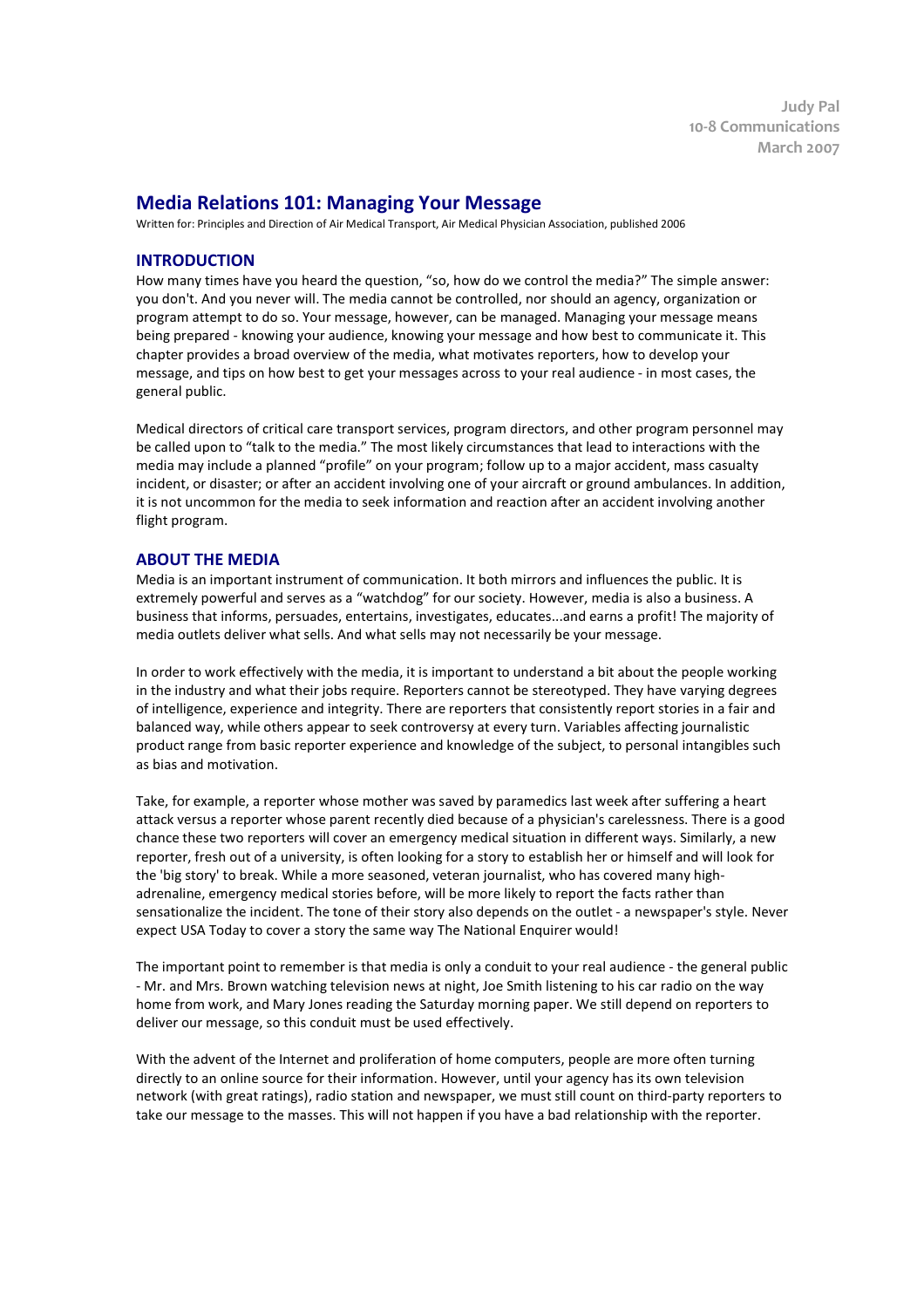**Judy Pal 10-8 Communications March 2007** 

# **Media Relations 101: Managing Your Message**

Written for: Principles and Direction of Air Medical Transport, Air Medical Physician Association, published 2006

## **INTRODUCTION**

How many times have you heard the question, "so, how do we control the media?" The simple answer: you don't. And you never will. The media cannot be controlled, nor should an agency, organization or program attempt to do so. Your message, however, can be managed. Managing your message means being prepared - knowing your audience, knowing your message and how best to communicate it. This chapter provides a broad overview of the media, what motivates reporters, how to develop your message, and tips on how best to get your messages across to your real audience - in most cases, the general public.

Medical directors of critical care transport services, program directors, and other program personnel may be called upon to "talk to the media." The most likely circumstances that lead to interactions with the media may include a planned "profile" on your program; follow up to a major accident, mass casualty incident, or disaster; or after an accident involving one of your aircraft or ground ambulances. In addition, it is not uncommon for the media to seek information and reaction after an accident involving another flight program.

## **ABOUT THE MEDIA**

Media is an important instrument of communication. It both mirrors and influences the public. It is extremely powerful and serves as a "watchdog" for our society. However, media is also a business. A business that informs, persuades, entertains, investigates, educates...and earns a profit! The majority of media outlets deliver what sells. And what sells may not necessarily be your message.

In order to work effectively with the media, it is important to understand a bit about the people working in the industry and what their jobs require. Reporters cannot be stereotyped. They have varying degrees of intelligence, experience and integrity. There are reporters that consistently report stories in a fair and balanced way, while others appear to seek controversy at every turn. Variables affecting journalistic product range from basic reporter experience and knowledge of the subject, to personal intangibles such as bias and motivation.

Take, for example, a reporter whose mother was saved by paramedics last week after suffering a heart attack versus a reporter whose parent recently died because of a physician's carelessness. There is a good chance these two reporters will cover an emergency medical situation in different ways. Similarly, a new reporter, fresh out of a university, is often looking for a story to establish her or himself and will look for the 'big story' to break. While a more seasoned, veteran journalist, who has covered many highadrenaline, emergency medical stories before, will be more likely to report the facts rather than sensationalize the incident. The tone of their story also depends on the outlet - a newspaper's style. Never expect USA Today to cover a story the same way The National Enquirer would!

The important point to remember is that media is only a conduit to your real audience - the general public - Mr. and Mrs. Brown watching television news at night, Joe Smith listening to his car radio on the way home from work, and Mary Jones reading the Saturday morning paper. We still depend on reporters to deliver our message, so this conduit must be used effectively.

With the advent of the Internet and proliferation of home computers, people are more often turning directly to an online source for their information. However, until your agency has its own television network (with great ratings), radio station and newspaper, we must still count on third-party reporters to take our message to the masses. This will not happen if you have a bad relationship with the reporter.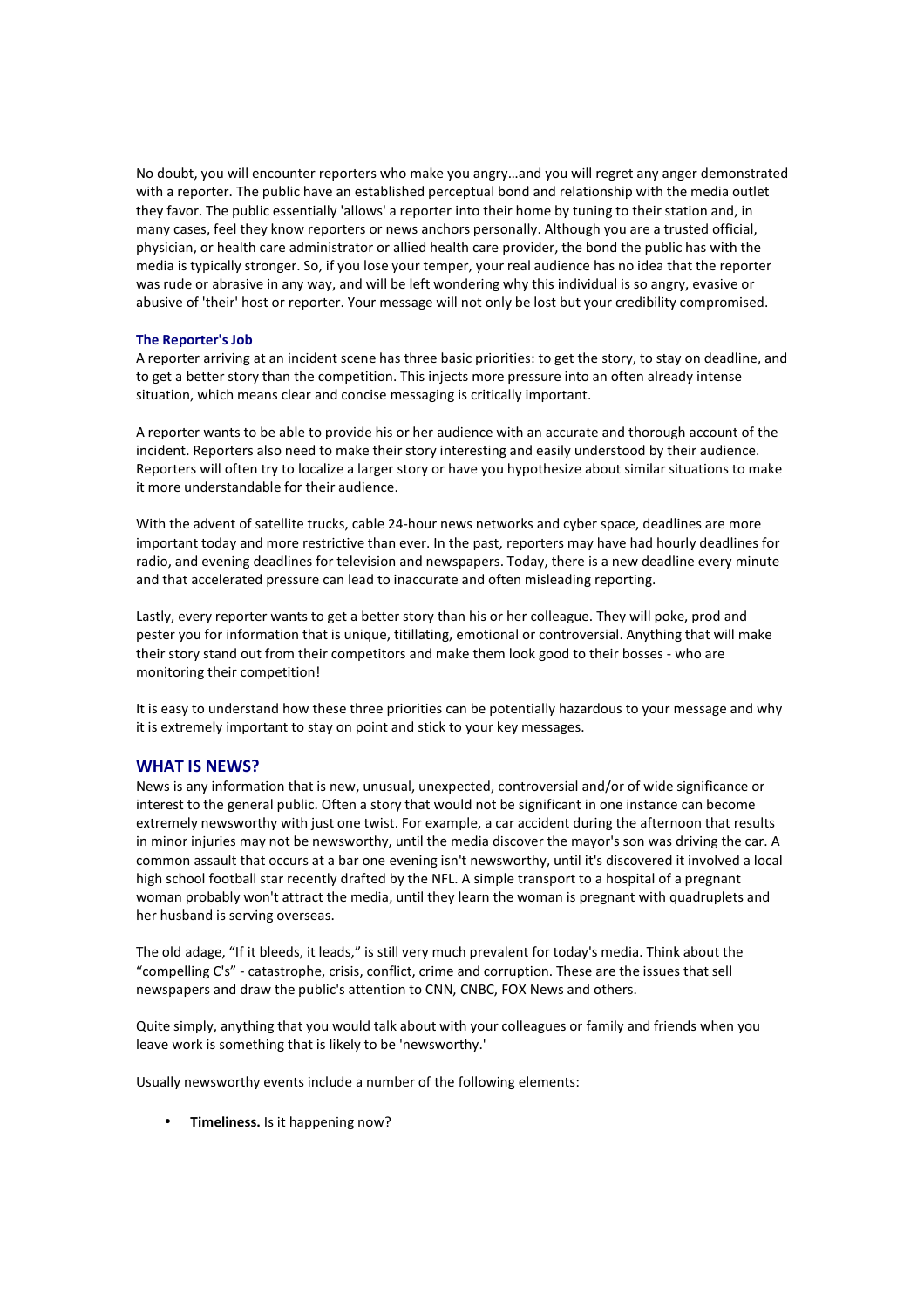No doubt, you will encounter reporters who make you angry…and you will regret any anger demonstrated with a reporter. The public have an established perceptual bond and relationship with the media outlet they favor. The public essentially 'allows' a reporter into their home by tuning to their station and, in many cases, feel they know reporters or news anchors personally. Although you are a trusted official, physician, or health care administrator or allied health care provider, the bond the public has with the media is typically stronger. So, if you lose your temper, your real audience has no idea that the reporter was rude or abrasive in any way, and will be left wondering why this individual is so angry, evasive or abusive of 'their' host or reporter. Your message will not only be lost but your credibility compromised.

### **The Reporter's Job**

A reporter arriving at an incident scene has three basic priorities: to get the story, to stay on deadline, and to get a better story than the competition. This injects more pressure into an often already intense situation, which means clear and concise messaging is critically important.

A reporter wants to be able to provide his or her audience with an accurate and thorough account of the incident. Reporters also need to make their story interesting and easily understood by their audience. Reporters will often try to localize a larger story or have you hypothesize about similar situations to make it more understandable for their audience.

With the advent of satellite trucks, cable 24-hour news networks and cyber space, deadlines are more important today and more restrictive than ever. In the past, reporters may have had hourly deadlines for radio, and evening deadlines for television and newspapers. Today, there is a new deadline every minute and that accelerated pressure can lead to inaccurate and often misleading reporting.

Lastly, every reporter wants to get a better story than his or her colleague. They will poke, prod and pester you for information that is unique, titillating, emotional or controversial. Anything that will make their story stand out from their competitors and make them look good to their bosses - who are monitoring their competition!

It is easy to understand how these three priorities can be potentially hazardous to your message and why it is extremely important to stay on point and stick to your key messages.

### **WHAT IS NEWS?**

News is any information that is new, unusual, unexpected, controversial and/or of wide significance or interest to the general public. Often a story that would not be significant in one instance can become extremely newsworthy with just one twist. For example, a car accident during the afternoon that results in minor injuries may not be newsworthy, until the media discover the mayor's son was driving the car. A common assault that occurs at a bar one evening isn't newsworthy, until it's discovered it involved a local high school football star recently drafted by the NFL. A simple transport to a hospital of a pregnant woman probably won't attract the media, until they learn the woman is pregnant with quadruplets and her husband is serving overseas.

The old adage, "If it bleeds, it leads," is still very much prevalent for today's media. Think about the "compelling C's" - catastrophe, crisis, conflict, crime and corruption. These are the issues that sell newspapers and draw the public's attention to CNN, CNBC, FOX News and others.

Quite simply, anything that you would talk about with your colleagues or family and friends when you leave work is something that is likely to be 'newsworthy.'

Usually newsworthy events include a number of the following elements:

• **Timeliness.** Is it happening now?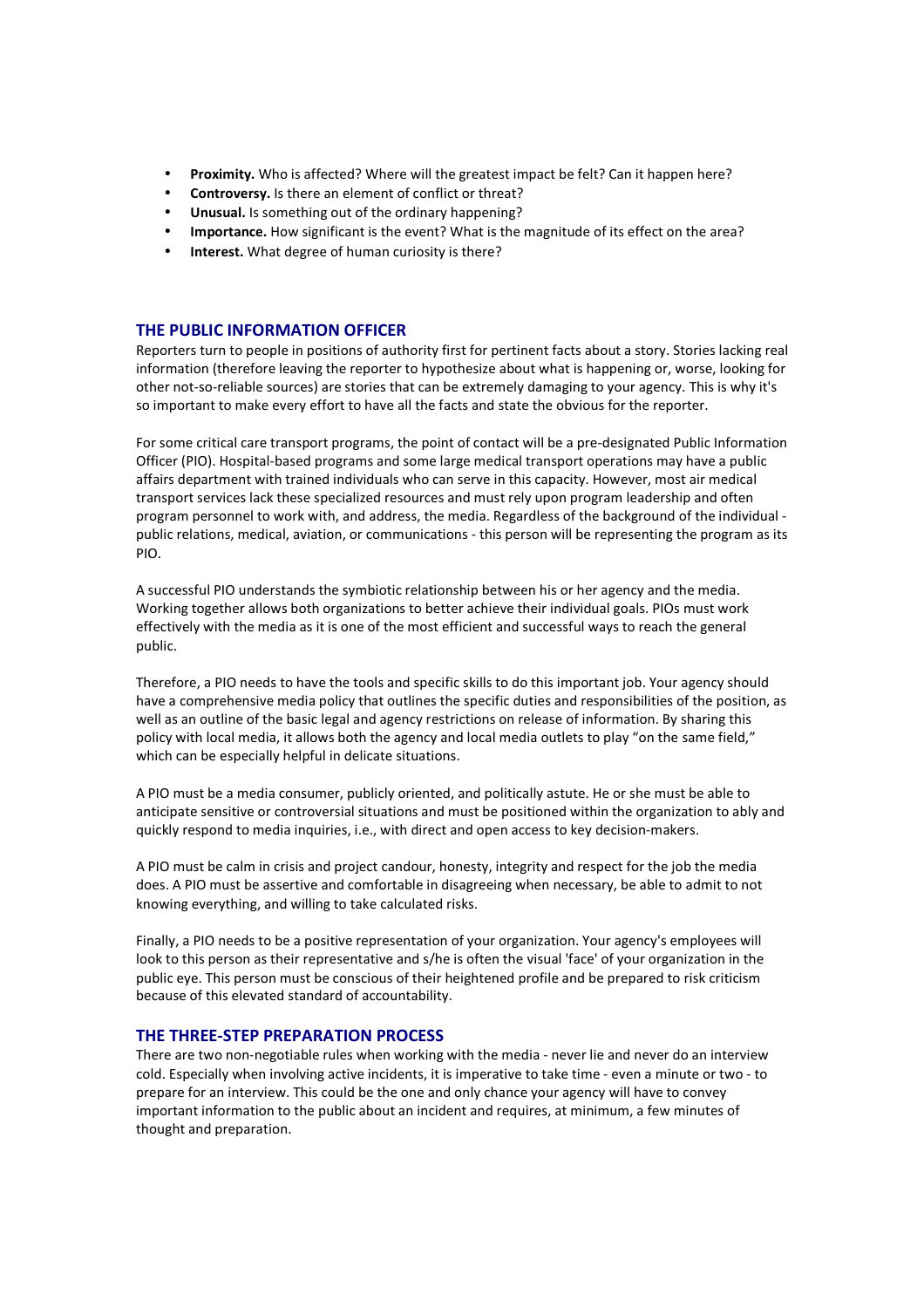- **Proximity.** Who is affected? Where will the greatest impact be felt? Can it happen here?
- **Controversy.** Is there an element of conflict or threat?
- **Unusual.** Is something out of the ordinary happening?
- **Importance.** How significant is the event? What is the magnitude of its effect on the area?
- Interest. What degree of human curiosity is there?

## **THE PUBLIC INFORMATION OFFICER**

Reporters turn to people in positions of authority first for pertinent facts about a story. Stories lacking real information (therefore leaving the reporter to hypothesize about what is happening or, worse, looking for other not-so-reliable sources) are stories that can be extremely damaging to your agency. This is why it's so important to make every effort to have all the facts and state the obvious for the reporter.

For some critical care transport programs, the point of contact will be a pre-designated Public Information Officer (PIO). Hospital-based programs and some large medical transport operations may have a public affairs department with trained individuals who can serve in this capacity. However, most air medical transport services lack these specialized resources and must rely upon program leadership and often program personnel to work with, and address, the media. Regardless of the background of the individual public relations, medical, aviation, or communications - this person will be representing the program as its PIO.

A successful PIO understands the symbiotic relationship between his or her agency and the media. Working together allows both organizations to better achieve their individual goals. PIOs must work effectively with the media as it is one of the most efficient and successful ways to reach the general public.

Therefore, a PIO needs to have the tools and specific skills to do this important job. Your agency should have a comprehensive media policy that outlines the specific duties and responsibilities of the position, as well as an outline of the basic legal and agency restrictions on release of information. By sharing this policy with local media, it allows both the agency and local media outlets to play "on the same field," which can be especially helpful in delicate situations.

A PIO must be a media consumer, publicly oriented, and politically astute. He or she must be able to anticipate sensitive or controversial situations and must be positioned within the organization to ably and quickly respond to media inquiries, i.e., with direct and open access to key decision-makers.

A PIO must be calm in crisis and project candour, honesty, integrity and respect for the job the media does. A PIO must be assertive and comfortable in disagreeing when necessary, be able to admit to not knowing everything, and willing to take calculated risks.

Finally, a PIO needs to be a positive representation of your organization. Your agency's employees will look to this person as their representative and s/he is often the visual 'face' of your organization in the public eye. This person must be conscious of their heightened profile and be prepared to risk criticism because of this elevated standard of accountability.

### **THE THREE-STEP PREPARATION PROCESS**

There are two non-negotiable rules when working with the media - never lie and never do an interview cold. Especially when involving active incidents, it is imperative to take time - even a minute or two - to prepare for an interview. This could be the one and only chance your agency will have to convey important information to the public about an incident and requires, at minimum, a few minutes of thought and preparation.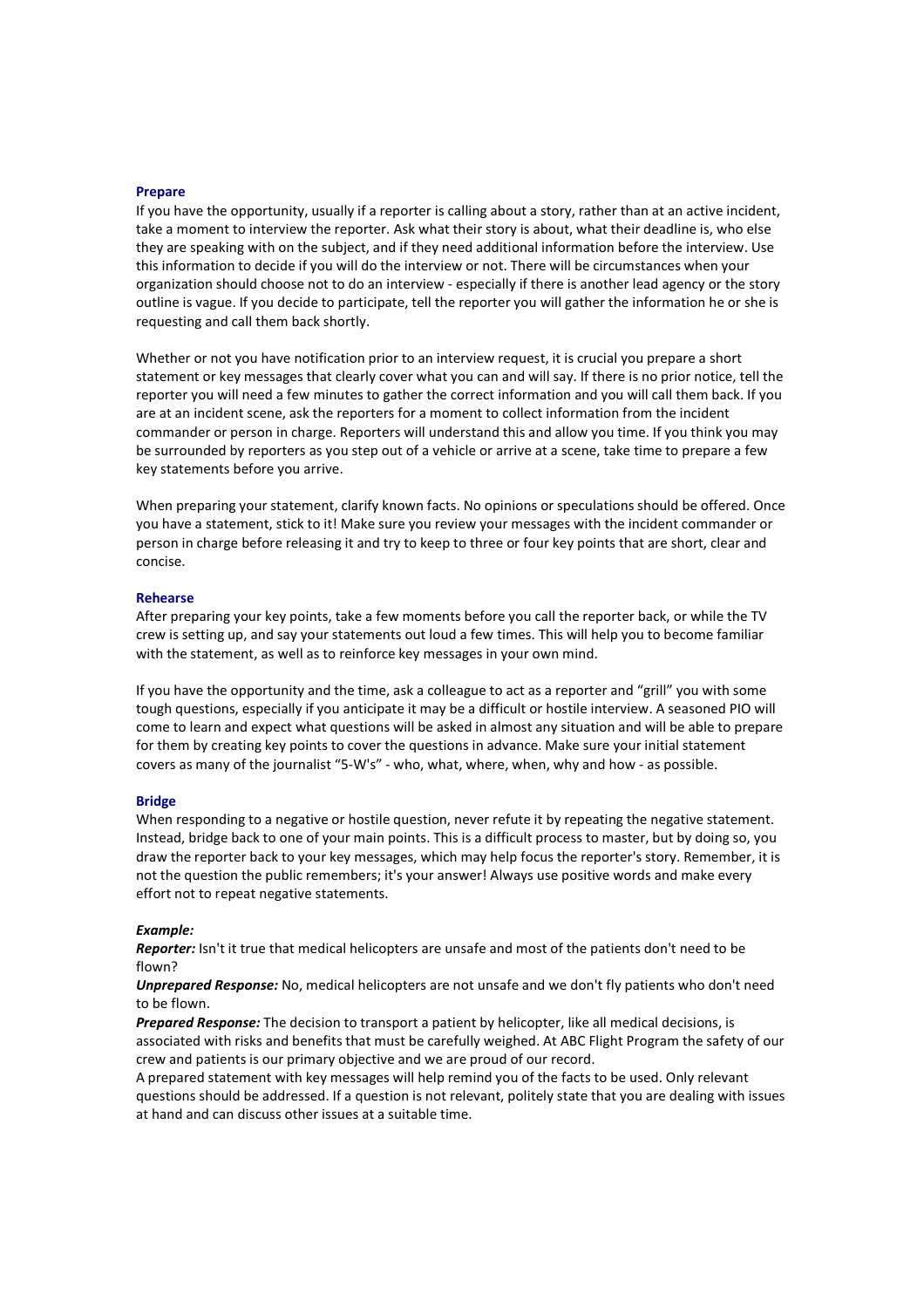#### **Prepare**

If you have the opportunity, usually if a reporter is calling about a story, rather than at an active incident, take a moment to interview the reporter. Ask what their story is about, what their deadline is, who else they are speaking with on the subject, and if they need additional information before the interview. Use this information to decide if you will do the interview or not. There will be circumstances when your organization should choose not to do an interview - especially if there is another lead agency or the story outline is vague. If you decide to participate, tell the reporter you will gather the information he or she is requesting and call them back shortly.

Whether or not you have notification prior to an interview request, it is crucial you prepare a short statement or key messages that clearly cover what you can and will say. If there is no prior notice, tell the reporter you will need a few minutes to gather the correct information and you will call them back. If you are at an incident scene, ask the reporters for a moment to collect information from the incident commander or person in charge. Reporters will understand this and allow you time. If you think you may be surrounded by reporters as you step out of a vehicle or arrive at a scene, take time to prepare a few key statements before you arrive.

When preparing your statement, clarify known facts. No opinions or speculations should be offered. Once you have a statement, stick to it! Make sure you review your messages with the incident commander or person in charge before releasing it and try to keep to three or four key points that are short, clear and concise.

### **Rehearse**

After preparing your key points, take a few moments before you call the reporter back, or while the TV crew is setting up, and say your statements out loud a few times. This will help you to become familiar with the statement, as well as to reinforce key messages in your own mind.

If you have the opportunity and the time, ask a colleague to act as a reporter and "grill" you with some tough questions, especially if you anticipate it may be a difficult or hostile interview. A seasoned PIO will come to learn and expect what questions will be asked in almost any situation and will be able to prepare for them by creating key points to cover the questions in advance. Make sure your initial statement covers as many of the journalist "5-W's" - who, what, where, when, why and how - as possible.

#### **Bridge**

When responding to a negative or hostile question, never refute it by repeating the negative statement. Instead, bridge back to one of your main points. This is a difficult process to master, but by doing so, you draw the reporter back to your key messages, which may help focus the reporter's story. Remember, it is not the question the public remembers; it's your answer! Always use positive words and make every effort not to repeat negative statements.

#### *Example:*

*Reporter:* Isn't it true that medical helicopters are unsafe and most of the patients don't need to be flown?

*Unprepared Response:* No, medical helicopters are not unsafe and we don't fly patients who don't need to be flown.

*Prepared Response:* The decision to transport a patient by helicopter, like all medical decisions, is associated with risks and benefits that must be carefully weighed. At ABC Flight Program the safety of our crew and patients is our primary objective and we are proud of our record.

A prepared statement with key messages will help remind you of the facts to be used. Only relevant questions should be addressed. If a question is not relevant, politely state that you are dealing with issues at hand and can discuss other issues at a suitable time.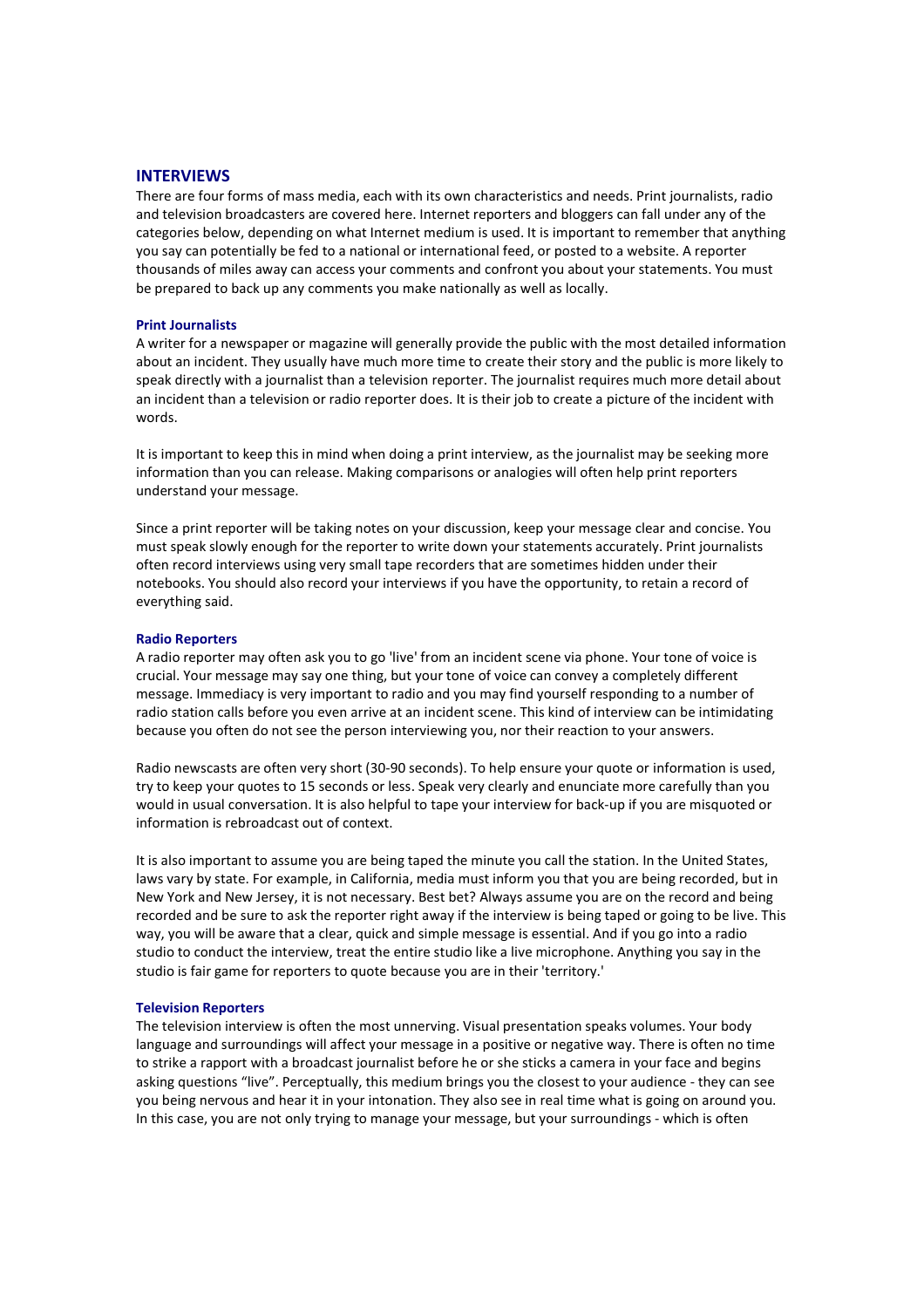### **INTERVIEWS**

There are four forms of mass media, each with its own characteristics and needs. Print journalists, radio and television broadcasters are covered here. Internet reporters and bloggers can fall under any of the categories below, depending on what Internet medium is used. It is important to remember that anything you say can potentially be fed to a national or international feed, or posted to a website. A reporter thousands of miles away can access your comments and confront you about your statements. You must be prepared to back up any comments you make nationally as well as locally.

#### **Print Journalists**

A writer for a newspaper or magazine will generally provide the public with the most detailed information about an incident. They usually have much more time to create their story and the public is more likely to speak directly with a journalist than a television reporter. The journalist requires much more detail about an incident than a television or radio reporter does. It is their job to create a picture of the incident with words.

It is important to keep this in mind when doing a print interview, as the journalist may be seeking more information than you can release. Making comparisons or analogies will often help print reporters understand your message.

Since a print reporter will be taking notes on your discussion, keep your message clear and concise. You must speak slowly enough for the reporter to write down your statements accurately. Print journalists often record interviews using very small tape recorders that are sometimes hidden under their notebooks. You should also record your interviews if you have the opportunity, to retain a record of everything said.

#### **Radio Reporters**

A radio reporter may often ask you to go 'live' from an incident scene via phone. Your tone of voice is crucial. Your message may say one thing, but your tone of voice can convey a completely different message. Immediacy is very important to radio and you may find yourself responding to a number of radio station calls before you even arrive at an incident scene. This kind of interview can be intimidating because you often do not see the person interviewing you, nor their reaction to your answers.

Radio newscasts are often very short (30-90 seconds). To help ensure your quote or information is used, try to keep your quotes to 15 seconds or less. Speak very clearly and enunciate more carefully than you would in usual conversation. It is also helpful to tape your interview for back-up if you are misquoted or information is rebroadcast out of context.

It is also important to assume you are being taped the minute you call the station. In the United States, laws vary by state. For example, in California, media must inform you that you are being recorded, but in New York and New Jersey, it is not necessary. Best bet? Always assume you are on the record and being recorded and be sure to ask the reporter right away if the interview is being taped or going to be live. This way, you will be aware that a clear, quick and simple message is essential. And if you go into a radio studio to conduct the interview, treat the entire studio like a live microphone. Anything you say in the studio is fair game for reporters to quote because you are in their 'territory.'

#### **Television Reporters**

The television interview is often the most unnerving. Visual presentation speaks volumes. Your body language and surroundings will affect your message in a positive or negative way. There is often no time to strike a rapport with a broadcast journalist before he or she sticks a camera in your face and begins asking questions "live". Perceptually, this medium brings you the closest to your audience - they can see you being nervous and hear it in your intonation. They also see in real time what is going on around you. In this case, you are not only trying to manage your message, but your surroundings - which is often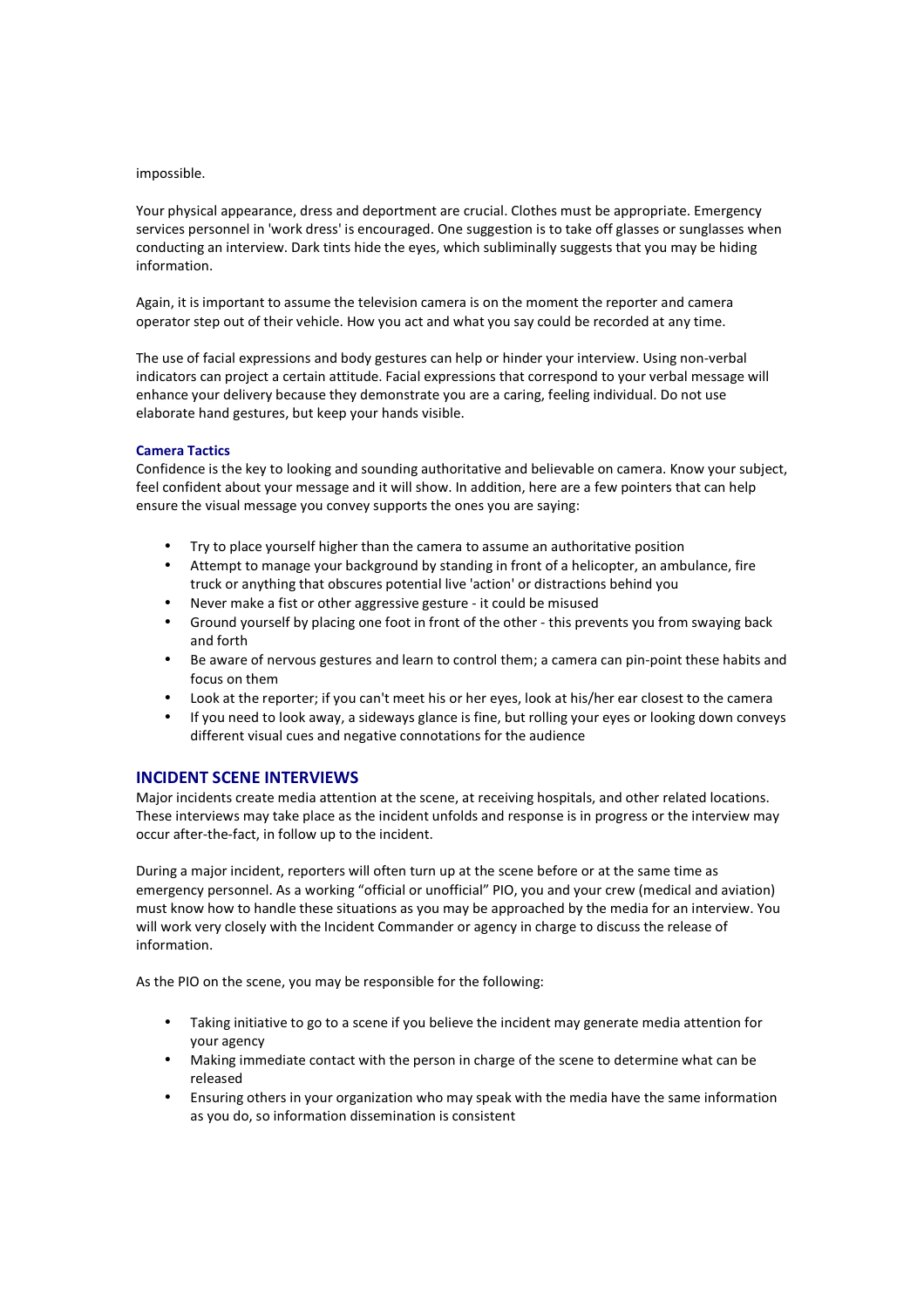### impossible.

Your physical appearance, dress and deportment are crucial. Clothes must be appropriate. Emergency services personnel in 'work dress' is encouraged. One suggestion is to take off glasses or sunglasses when conducting an interview. Dark tints hide the eyes, which subliminally suggests that you may be hiding information.

Again, it is important to assume the television camera is on the moment the reporter and camera operator step out of their vehicle. How you act and what you say could be recorded at any time.

The use of facial expressions and body gestures can help or hinder your interview. Using non-verbal indicators can project a certain attitude. Facial expressions that correspond to your verbal message will enhance your delivery because they demonstrate you are a caring, feeling individual. Do not use elaborate hand gestures, but keep your hands visible.

### **Camera Tactics**

Confidence is the key to looking and sounding authoritative and believable on camera. Know your subject, feel confident about your message and it will show. In addition, here are a few pointers that can help ensure the visual message you convey supports the ones you are saying:

- Try to place yourself higher than the camera to assume an authoritative position
- Attempt to manage your background by standing in front of a helicopter, an ambulance, fire truck or anything that obscures potential live 'action' or distractions behind you
- Never make a fist or other aggressive gesture it could be misused
- Ground yourself by placing one foot in front of the other this prevents you from swaying back and forth
- Be aware of nervous gestures and learn to control them; a camera can pin-point these habits and focus on them
- Look at the reporter; if you can't meet his or her eyes, look at his/her ear closest to the camera
- If you need to look away, a sideways glance is fine, but rolling your eyes or looking down conveys different visual cues and negative connotations for the audience

## **INCIDENT SCENE INTERVIEWS**

Major incidents create media attention at the scene, at receiving hospitals, and other related locations. These interviews may take place as the incident unfolds and response is in progress or the interview may occur after-the-fact, in follow up to the incident.

During a major incident, reporters will often turn up at the scene before or at the same time as emergency personnel. As a working "official or unofficial" PIO, you and your crew (medical and aviation) must know how to handle these situations as you may be approached by the media for an interview. You will work very closely with the Incident Commander or agency in charge to discuss the release of information.

As the PIO on the scene, you may be responsible for the following:

- Taking initiative to go to a scene if you believe the incident may generate media attention for your agency
- Making immediate contact with the person in charge of the scene to determine what can be released
- Ensuring others in your organization who may speak with the media have the same information as you do, so information dissemination is consistent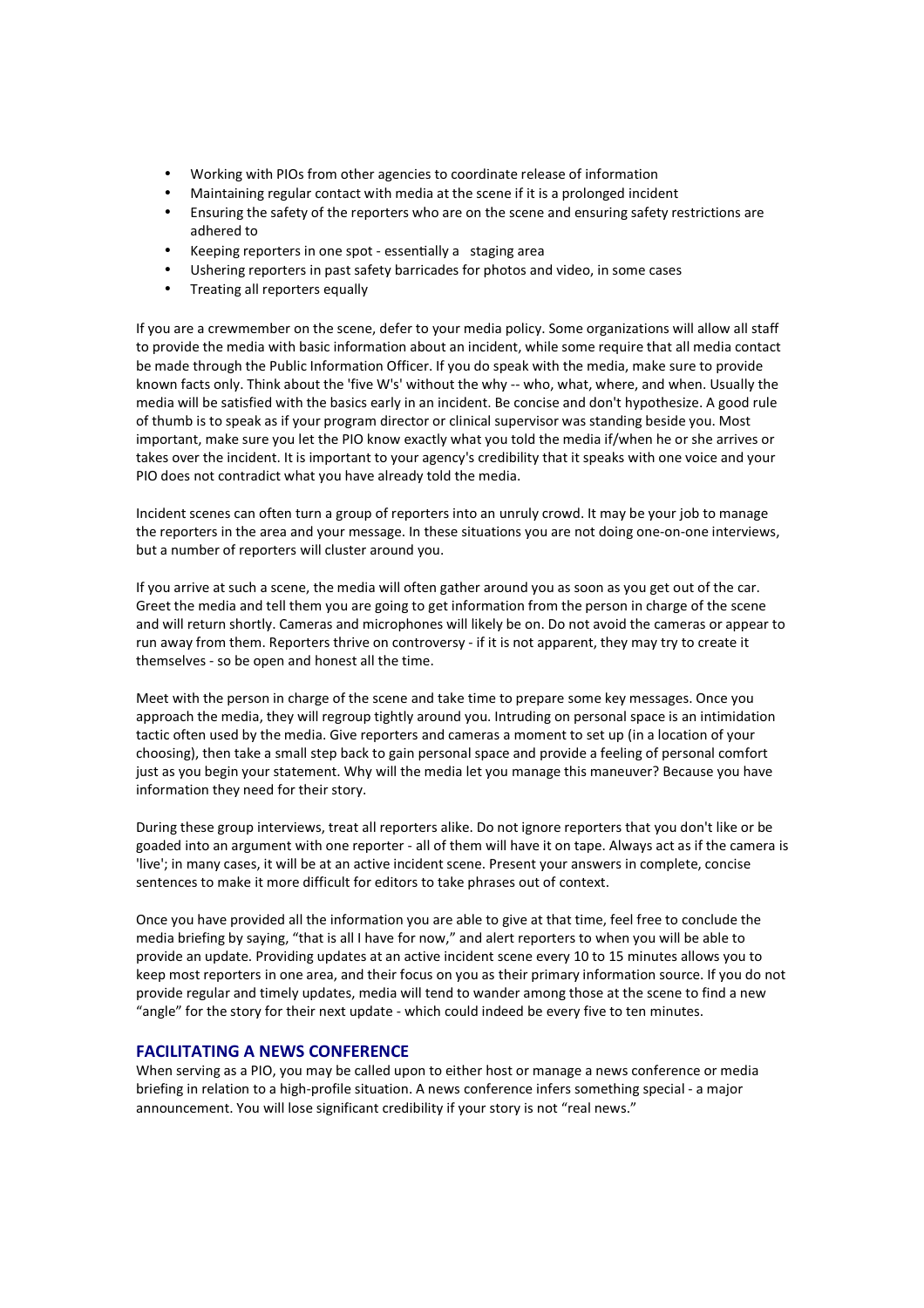- Working with PIOs from other agencies to coordinate release of information
- Maintaining regular contact with media at the scene if it is a prolonged incident
- Ensuring the safety of the reporters who are on the scene and ensuring safety restrictions are adhered to
- Keeping reporters in one spot essentially a staging area
- Ushering reporters in past safety barricades for photos and video, in some cases
- Treating all reporters equally

If you are a crewmember on the scene, defer to your media policy. Some organizations will allow all staff to provide the media with basic information about an incident, while some require that all media contact be made through the Public Information Officer. If you do speak with the media, make sure to provide known facts only. Think about the 'five W's' without the why -- who, what, where, and when. Usually the media will be satisfied with the basics early in an incident. Be concise and don't hypothesize. A good rule of thumb is to speak as if your program director or clinical supervisor was standing beside you. Most important, make sure you let the PIO know exactly what you told the media if/when he or she arrives or takes over the incident. It is important to your agency's credibility that it speaks with one voice and your PIO does not contradict what you have already told the media.

Incident scenes can often turn a group of reporters into an unruly crowd. It may be your job to manage the reporters in the area and your message. In these situations you are not doing one-on-one interviews, but a number of reporters will cluster around you.

If you arrive at such a scene, the media will often gather around you as soon as you get out of the car. Greet the media and tell them you are going to get information from the person in charge of the scene and will return shortly. Cameras and microphones will likely be on. Do not avoid the cameras or appear to run away from them. Reporters thrive on controversy - if it is not apparent, they may try to create it themselves - so be open and honest all the time.

Meet with the person in charge of the scene and take time to prepare some key messages. Once you approach the media, they will regroup tightly around you. Intruding on personal space is an intimidation tactic often used by the media. Give reporters and cameras a moment to set up (in a location of your choosing), then take a small step back to gain personal space and provide a feeling of personal comfort just as you begin your statement. Why will the media let you manage this maneuver? Because you have information they need for their story.

During these group interviews, treat all reporters alike. Do not ignore reporters that you don't like or be goaded into an argument with one reporter - all of them will have it on tape. Always act as if the camera is 'live'; in many cases, it will be at an active incident scene. Present your answers in complete, concise sentences to make it more difficult for editors to take phrases out of context.

Once you have provided all the information you are able to give at that time, feel free to conclude the media briefing by saying, "that is all I have for now," and alert reporters to when you will be able to provide an update. Providing updates at an active incident scene every 10 to 15 minutes allows you to keep most reporters in one area, and their focus on you as their primary information source. If you do not provide regular and timely updates, media will tend to wander among those at the scene to find a new "angle" for the story for their next update - which could indeed be every five to ten minutes.

## **FACILITATING A NEWS CONFERENCE**

When serving as a PIO, you may be called upon to either host or manage a news conference or media briefing in relation to a high-profile situation. A news conference infers something special - a major announcement. You will lose significant credibility if your story is not "real news."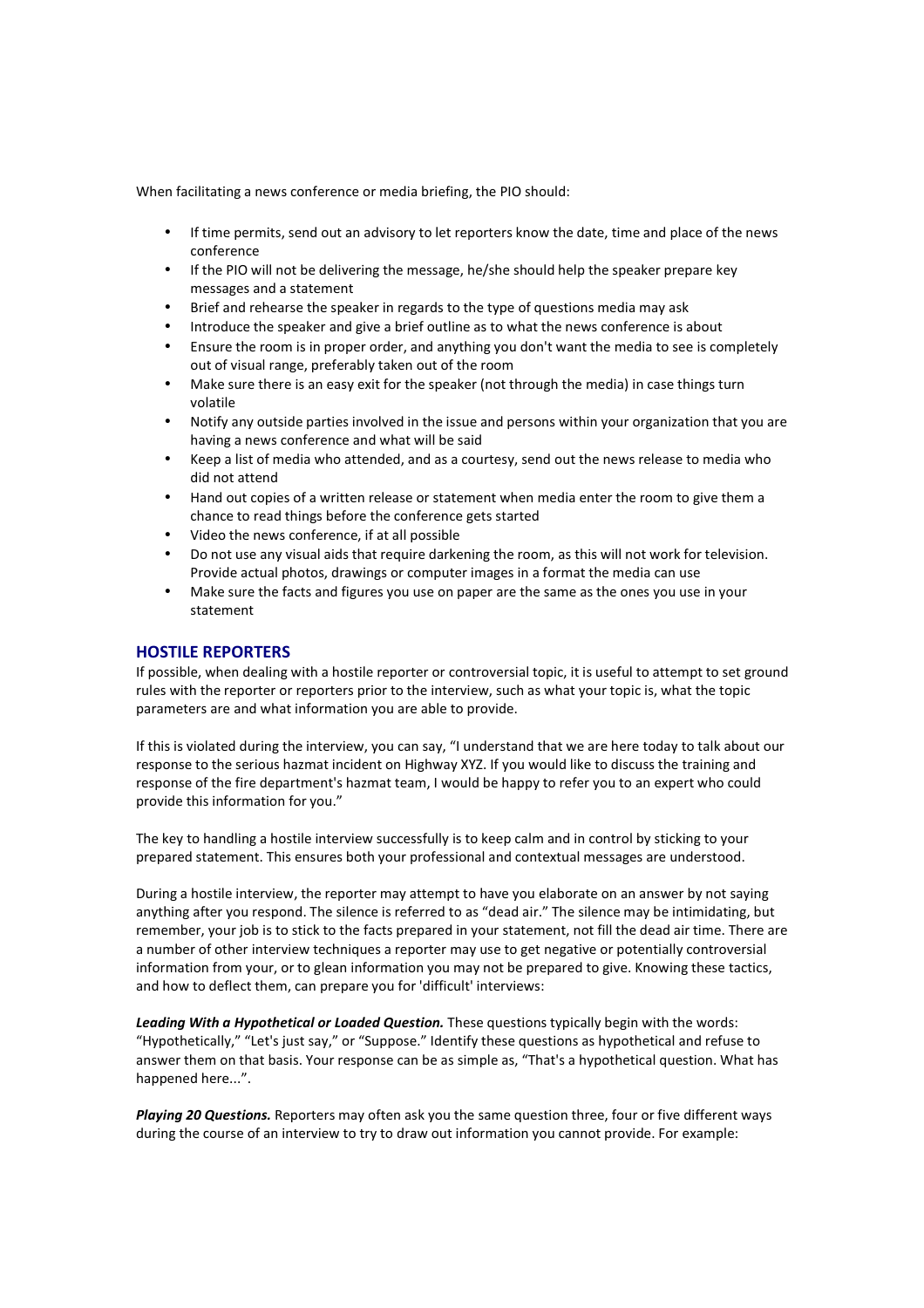When facilitating a news conference or media briefing, the PIO should:

- If time permits, send out an advisory to let reporters know the date, time and place of the news conference
- If the PIO will not be delivering the message, he/she should help the speaker prepare key messages and a statement
- Brief and rehearse the speaker in regards to the type of questions media may ask
- Introduce the speaker and give a brief outline as to what the news conference is about
- Ensure the room is in proper order, and anything you don't want the media to see is completely out of visual range, preferably taken out of the room
- Make sure there is an easy exit for the speaker (not through the media) in case things turn volatile
- Notify any outside parties involved in the issue and persons within your organization that you are having a news conference and what will be said
- Keep a list of media who attended, and as a courtesy, send out the news release to media who did not attend
- Hand out copies of a written release or statement when media enter the room to give them a chance to read things before the conference gets started
- Video the news conference, if at all possible
- Do not use any visual aids that require darkening the room, as this will not work for television. Provide actual photos, drawings or computer images in a format the media can use
- Make sure the facts and figures you use on paper are the same as the ones you use in your statement

### **HOSTILE REPORTERS**

If possible, when dealing with a hostile reporter or controversial topic, it is useful to attempt to set ground rules with the reporter or reporters prior to the interview, such as what your topic is, what the topic parameters are and what information you are able to provide.

If this is violated during the interview, you can say, "I understand that we are here today to talk about our response to the serious hazmat incident on Highway XYZ. If you would like to discuss the training and response of the fire department's hazmat team, I would be happy to refer you to an expert who could provide this information for you."

The key to handling a hostile interview successfully is to keep calm and in control by sticking to your prepared statement. This ensures both your professional and contextual messages are understood.

During a hostile interview, the reporter may attempt to have you elaborate on an answer by not saying anything after you respond. The silence is referred to as "dead air." The silence may be intimidating, but remember, your job is to stick to the facts prepared in your statement, not fill the dead air time. There are a number of other interview techniques a reporter may use to get negative or potentially controversial information from your, or to glean information you may not be prepared to give. Knowing these tactics, and how to deflect them, can prepare you for 'difficult' interviews:

*Leading With a Hypothetical or Loaded Question.* These questions typically begin with the words: "Hypothetically," "Let's just say," or "Suppose." Identify these questions as hypothetical and refuse to answer them on that basis. Your response can be as simple as, "That's a hypothetical question. What has happened here...".

*Playing 20 Questions.* Reporters may often ask you the same question three, four or five different ways during the course of an interview to try to draw out information you cannot provide. For example: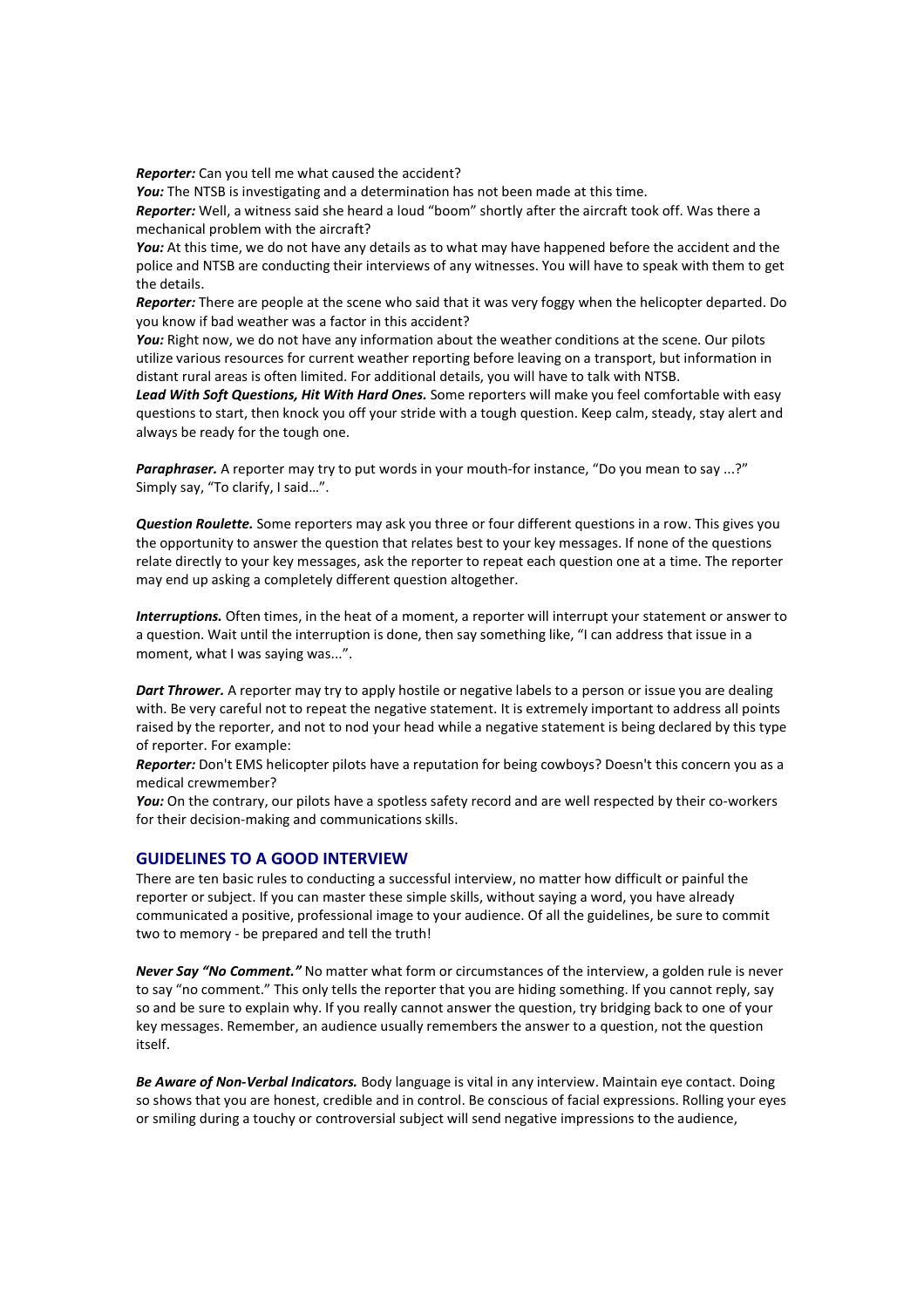*Reporter:* Can you tell me what caused the accident?

*You:* The NTSB is investigating and a determination has not been made at this time.

*Reporter:* Well, a witness said she heard a loud "boom" shortly after the aircraft took off. Was there a mechanical problem with the aircraft?

You: At this time, we do not have any details as to what may have happened before the accident and the police and NTSB are conducting their interviews of any witnesses. You will have to speak with them to get the details.

*Reporter:* There are people at the scene who said that it was very foggy when the helicopter departed. Do you know if bad weather was a factor in this accident?

*You:* Right now, we do not have any information about the weather conditions at the scene. Our pilots utilize various resources for current weather reporting before leaving on a transport, but information in distant rural areas is often limited. For additional details, you will have to talk with NTSB.

*Lead With Soft Questions, Hit With Hard Ones.* Some reporters will make you feel comfortable with easy questions to start, then knock you off your stride with a tough question. Keep calm, steady, stay alert and always be ready for the tough one.

*Paraphraser.* A reporter may try to put words in your mouth-for instance, "Do you mean to say ...?" Simply say, "To clarify, I said…".

*Question Roulette.* Some reporters may ask you three or four different questions in a row. This gives you the opportunity to answer the question that relates best to your key messages. If none of the questions relate directly to your key messages, ask the reporter to repeat each question one at a time. The reporter may end up asking a completely different question altogether.

*Interruptions.* Often times, in the heat of a moment, a reporter will interrupt your statement or answer to a question. Wait until the interruption is done, then say something like, "I can address that issue in a moment, what I was saying was...".

*Dart Thrower.* A reporter may try to apply hostile or negative labels to a person or issue you are dealing with. Be very careful not to repeat the negative statement. It is extremely important to address all points raised by the reporter, and not to nod your head while a negative statement is being declared by this type of reporter. For example:

*Reporter:* Don't EMS helicopter pilots have a reputation for being cowboys? Doesn't this concern you as a medical crewmember?

You: On the contrary, our pilots have a spotless safety record and are well respected by their co-workers for their decision-making and communications skills.

## **GUIDELINES TO A GOOD INTERVIEW**

There are ten basic rules to conducting a successful interview, no matter how difficult or painful the reporter or subject. If you can master these simple skills, without saying a word, you have already communicated a positive, professional image to your audience. Of all the guidelines, be sure to commit two to memory - be prepared and tell the truth!

*Never Say "No Comment."* No matter what form or circumstances of the interview, a golden rule is never to say "no comment." This only tells the reporter that you are hiding something. If you cannot reply, say so and be sure to explain why. If you really cannot answer the question, try bridging back to one of your key messages. Remember, an audience usually remembers the answer to a question, not the question itself.

*Be Aware of Non-Verbal Indicators.* Body language is vital in any interview. Maintain eye contact. Doing so shows that you are honest, credible and in control. Be conscious of facial expressions. Rolling your eyes or smiling during a touchy or controversial subject will send negative impressions to the audience,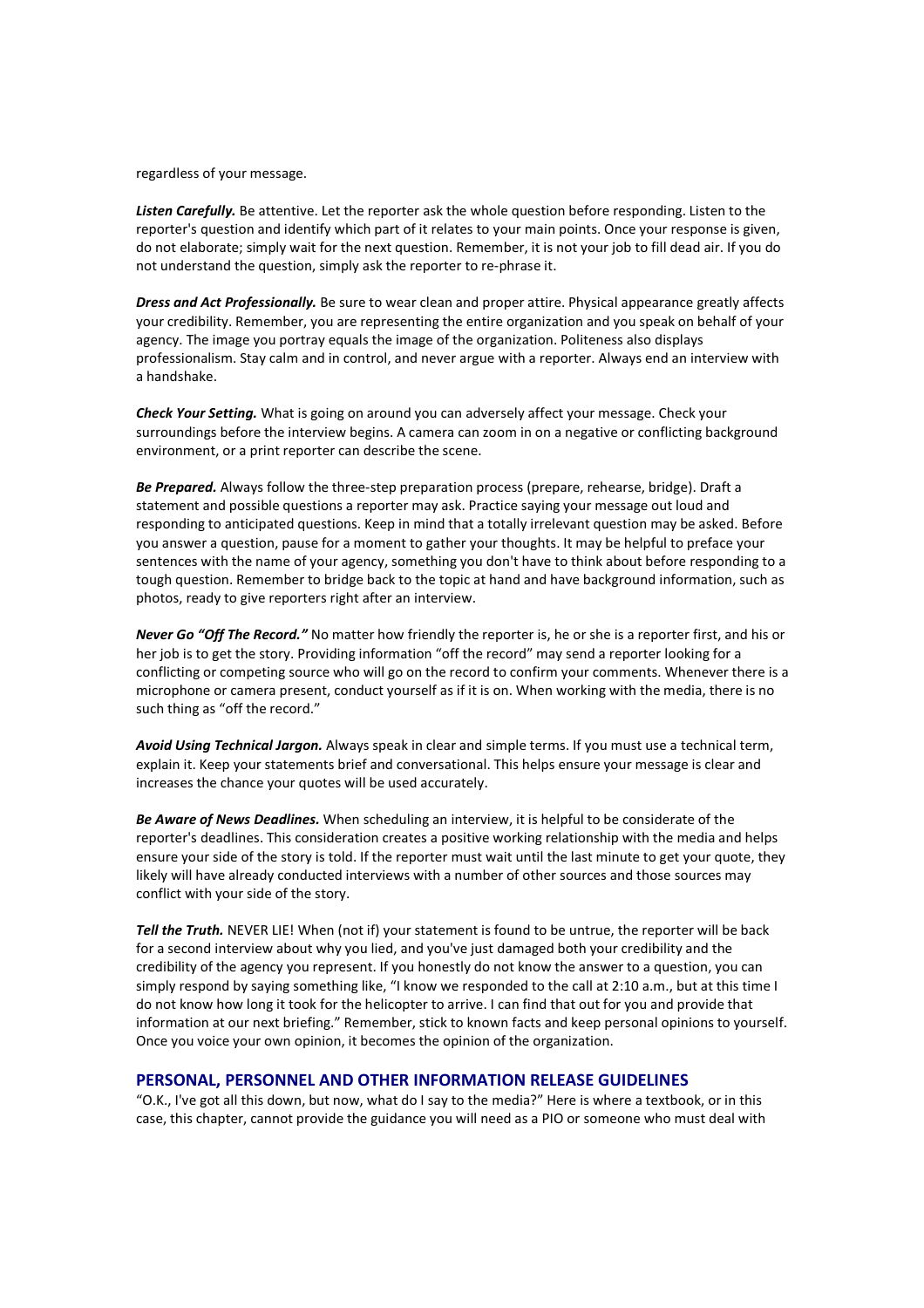regardless of your message.

Listen Carefully. Be attentive. Let the reporter ask the whole question before responding. Listen to the reporter's question and identify which part of it relates to your main points. Once your response is given, do not elaborate; simply wait for the next question. Remember, it is not your job to fill dead air. If you do not understand the question, simply ask the reporter to re-phrase it.

*Dress and Act Professionally.* Be sure to wear clean and proper attire. Physical appearance greatly affects your credibility. Remember, you are representing the entire organization and you speak on behalf of your agency. The image you portray equals the image of the organization. Politeness also displays professionalism. Stay calm and in control, and never argue with a reporter. Always end an interview with a handshake.

*Check Your Setting.* What is going on around you can adversely affect your message. Check your surroundings before the interview begins. A camera can zoom in on a negative or conflicting background environment, or a print reporter can describe the scene.

*Be Prepared.* Always follow the three-step preparation process (prepare, rehearse, bridge). Draft a statement and possible questions a reporter may ask. Practice saying your message out loud and responding to anticipated questions. Keep in mind that a totally irrelevant question may be asked. Before you answer a question, pause for a moment to gather your thoughts. It may be helpful to preface your sentences with the name of your agency, something you don't have to think about before responding to a tough question. Remember to bridge back to the topic at hand and have background information, such as photos, ready to give reporters right after an interview.

*Never Go "Off The Record."* No matter how friendly the reporter is, he or she is a reporter first, and his or her job is to get the story. Providing information "off the record" may send a reporter looking for a conflicting or competing source who will go on the record to confirm your comments. Whenever there is a microphone or camera present, conduct yourself as if it is on. When working with the media, there is no such thing as "off the record."

*Avoid Using Technical Jargon.* Always speak in clear and simple terms. If you must use a technical term, explain it. Keep your statements brief and conversational. This helps ensure your message is clear and increases the chance your quotes will be used accurately.

*Be Aware of News Deadlines.* When scheduling an interview, it is helpful to be considerate of the reporter's deadlines. This consideration creates a positive working relationship with the media and helps ensure your side of the story is told. If the reporter must wait until the last minute to get your quote, they likely will have already conducted interviews with a number of other sources and those sources may conflict with your side of the story.

Tell the Truth. NEVER LIE! When (not if) your statement is found to be untrue, the reporter will be back for a second interview about why you lied, and you've just damaged both your credibility and the credibility of the agency you represent. If you honestly do not know the answer to a question, you can simply respond by saying something like, "I know we responded to the call at 2:10 a.m., but at this time I do not know how long it took for the helicopter to arrive. I can find that out for you and provide that information at our next briefing." Remember, stick to known facts and keep personal opinions to yourself. Once you voice your own opinion, it becomes the opinion of the organization.

## **PERSONAL, PERSONNEL AND OTHER INFORMATION RELEASE GUIDELINES**

"O.K., I've got all this down, but now, what do I say to the media?" Here is where a textbook, or in this case, this chapter, cannot provide the guidance you will need as a PIO or someone who must deal with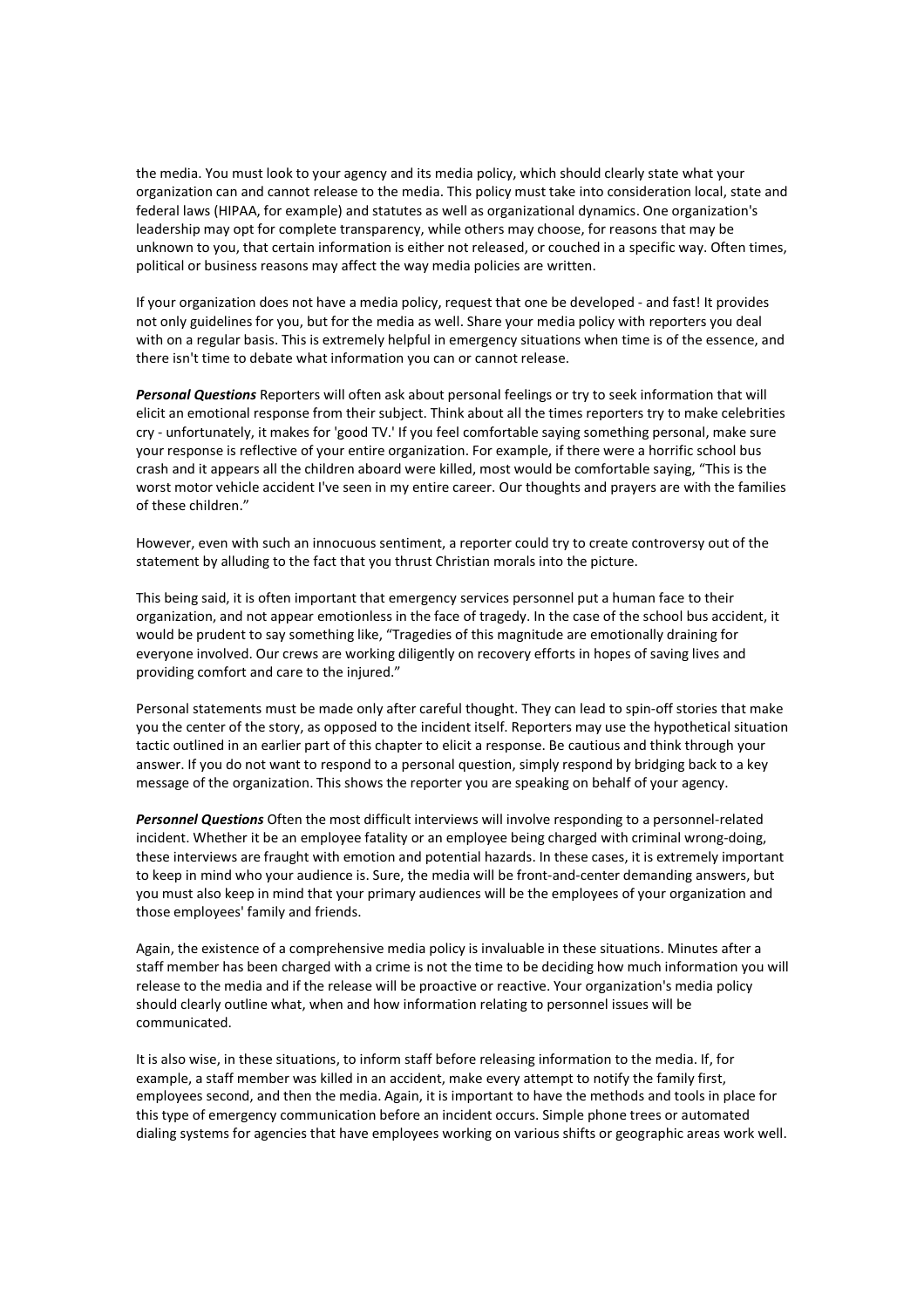the media. You must look to your agency and its media policy, which should clearly state what your organization can and cannot release to the media. This policy must take into consideration local, state and federal laws (HIPAA, for example) and statutes as well as organizational dynamics. One organization's leadership may opt for complete transparency, while others may choose, for reasons that may be unknown to you, that certain information is either not released, or couched in a specific way. Often times, political or business reasons may affect the way media policies are written.

If your organization does not have a media policy, request that one be developed - and fast! It provides not only guidelines for you, but for the media as well. Share your media policy with reporters you deal with on a regular basis. This is extremely helpful in emergency situations when time is of the essence, and there isn't time to debate what information you can or cannot release.

*Personal Questions* Reporters will often ask about personal feelings or try to seek information that will elicit an emotional response from their subject. Think about all the times reporters try to make celebrities cry - unfortunately, it makes for 'good TV.' If you feel comfortable saying something personal, make sure your response is reflective of your entire organization. For example, if there were a horrific school bus crash and it appears all the children aboard were killed, most would be comfortable saying, "This is the worst motor vehicle accident I've seen in my entire career. Our thoughts and prayers are with the families of these children."

However, even with such an innocuous sentiment, a reporter could try to create controversy out of the statement by alluding to the fact that you thrust Christian morals into the picture.

This being said, it is often important that emergency services personnel put a human face to their organization, and not appear emotionless in the face of tragedy. In the case of the school bus accident, it would be prudent to say something like, "Tragedies of this magnitude are emotionally draining for everyone involved. Our crews are working diligently on recovery efforts in hopes of saving lives and providing comfort and care to the injured."

Personal statements must be made only after careful thought. They can lead to spin-off stories that make you the center of the story, as opposed to the incident itself. Reporters may use the hypothetical situation tactic outlined in an earlier part of this chapter to elicit a response. Be cautious and think through your answer. If you do not want to respond to a personal question, simply respond by bridging back to a key message of the organization. This shows the reporter you are speaking on behalf of your agency.

*Personnel Questions* Often the most difficult interviews will involve responding to a personnel-related incident. Whether it be an employee fatality or an employee being charged with criminal wrong-doing, these interviews are fraught with emotion and potential hazards. In these cases, it is extremely important to keep in mind who your audience is. Sure, the media will be front-and-center demanding answers, but you must also keep in mind that your primary audiences will be the employees of your organization and those employees' family and friends.

Again, the existence of a comprehensive media policy is invaluable in these situations. Minutes after a staff member has been charged with a crime is not the time to be deciding how much information you will release to the media and if the release will be proactive or reactive. Your organization's media policy should clearly outline what, when and how information relating to personnel issues will be communicated.

It is also wise, in these situations, to inform staff before releasing information to the media. If, for example, a staff member was killed in an accident, make every attempt to notify the family first, employees second, and then the media. Again, it is important to have the methods and tools in place for this type of emergency communication before an incident occurs. Simple phone trees or automated dialing systems for agencies that have employees working on various shifts or geographic areas work well.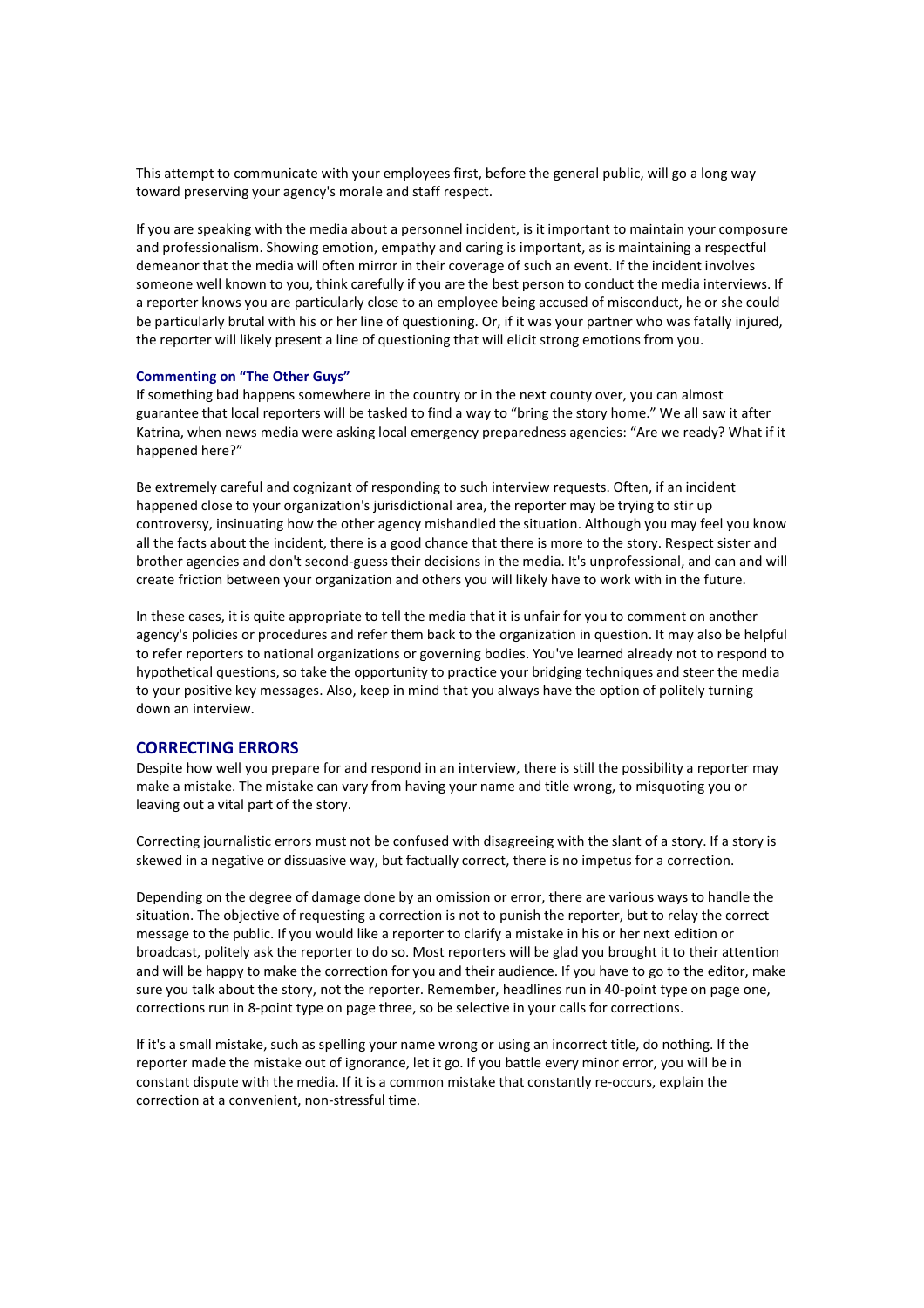This attempt to communicate with your employees first, before the general public, will go a long way toward preserving your agency's morale and staff respect.

If you are speaking with the media about a personnel incident, is it important to maintain your composure and professionalism. Showing emotion, empathy and caring is important, as is maintaining a respectful demeanor that the media will often mirror in their coverage of such an event. If the incident involves someone well known to you, think carefully if you are the best person to conduct the media interviews. If a reporter knows you are particularly close to an employee being accused of misconduct, he or she could be particularly brutal with his or her line of questioning. Or, if it was your partner who was fatally injured, the reporter will likely present a line of questioning that will elicit strong emotions from you.

### **Commenting on "The Other Guys"**

If something bad happens somewhere in the country or in the next county over, you can almost guarantee that local reporters will be tasked to find a way to "bring the story home." We all saw it after Katrina, when news media were asking local emergency preparedness agencies: "Are we ready? What if it happened here?"

Be extremely careful and cognizant of responding to such interview requests. Often, if an incident happened close to your organization's jurisdictional area, the reporter may be trying to stir up controversy, insinuating how the other agency mishandled the situation. Although you may feel you know all the facts about the incident, there is a good chance that there is more to the story. Respect sister and brother agencies and don't second-guess their decisions in the media. It's unprofessional, and can and will create friction between your organization and others you will likely have to work with in the future.

In these cases, it is quite appropriate to tell the media that it is unfair for you to comment on another agency's policies or procedures and refer them back to the organization in question. It may also be helpful to refer reporters to national organizations or governing bodies. You've learned already not to respond to hypothetical questions, so take the opportunity to practice your bridging techniques and steer the media to your positive key messages. Also, keep in mind that you always have the option of politely turning down an interview.

## **CORRECTING ERRORS**

Despite how well you prepare for and respond in an interview, there is still the possibility a reporter may make a mistake. The mistake can vary from having your name and title wrong, to misquoting you or leaving out a vital part of the story.

Correcting journalistic errors must not be confused with disagreeing with the slant of a story. If a story is skewed in a negative or dissuasive way, but factually correct, there is no impetus for a correction.

Depending on the degree of damage done by an omission or error, there are various ways to handle the situation. The objective of requesting a correction is not to punish the reporter, but to relay the correct message to the public. If you would like a reporter to clarify a mistake in his or her next edition or broadcast, politely ask the reporter to do so. Most reporters will be glad you brought it to their attention and will be happy to make the correction for you and their audience. If you have to go to the editor, make sure you talk about the story, not the reporter. Remember, headlines run in 40-point type on page one, corrections run in 8-point type on page three, so be selective in your calls for corrections.

If it's a small mistake, such as spelling your name wrong or using an incorrect title, do nothing. If the reporter made the mistake out of ignorance, let it go. If you battle every minor error, you will be in constant dispute with the media. If it is a common mistake that constantly re-occurs, explain the correction at a convenient, non-stressful time.